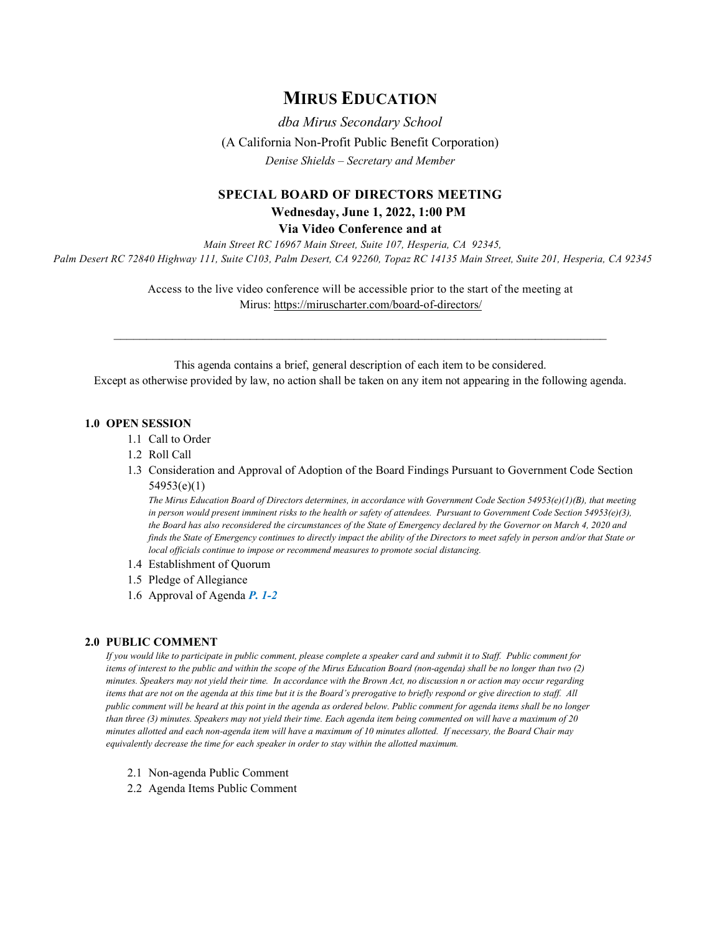# **MIRUS EDUCATION**

*dba Mirus Secondary School* (A California Non-Profit Public Benefit Corporation) *Denise Shields – Secretary and Member*

## **SPECIAL BOARD OF DIRECTORS MEETING Wednesday, June 1, 2022, 1:00 PM**

**Via Video Conference and at**

*Main Street RC 16967 Main Street, Suite 107, Hesperia, CA 92345, Palm Desert RC 72840 Highway 111, Suite C103, Palm Desert, CA 92260, Topaz RC 14135 Main Street, Suite 201, Hesperia, CA 92345*

> Access to the live video conference will be accessible prior to the start of the meeting at Mirus:<https://miruscharter.com/board-of-directors/>

 $\mathcal{L}_\text{max}$  , and the contribution of the contribution of the contribution of the contribution of the contribution of the contribution of the contribution of the contribution of the contribution of the contribution of t

This agenda contains a brief, general description of each item to be considered. Except as otherwise provided by law, no action shall be taken on any item not appearing in the following agenda.

#### **1.0 OPEN SESSION**

- 1.1 Call to Order
- 1.2 Roll Call
- 1.3 Consideration and Approval of Adoption of the Board Findings Pursuant to Government Code Section 54953(e)(1)

*The Mirus Education Board of Directors determines, in accordance with Government Code Section 54953(e)(1)(B), that meeting in person would present imminent risks to the health or safety of attendees. Pursuant to Government Code Section 54953(e)(3), the Board has also reconsidered the circumstances of the State of Emergency declared by the Governor on March 4, 2020 and finds the State of Emergency continues to directly impact the ability of the Directors to meet safely in person and/or that State or local officials continue to impose or recommend measures to promote social distancing.*

- 1.4 Establishment of Quorum
- 1.5 Pledge of Allegiance
- 1.6 Approval of Agenda *P. 1-2*

### **2.0 PUBLIC COMMENT**

*If you would like to participate in public comment, please complete a speaker card and submit it to Staff. Public comment for items of interest to the public and within the scope of the Mirus Education Board (non-agenda) shall be no longer than two (2) minutes. Speakers may not yield their time. In accordance with the Brown Act, no discussion n or action may occur regarding items that are not on the agenda at this time but it is the Board's prerogative to briefly respond or give direction to staff. All public comment will be heard at this point in the agenda as ordered below. Public comment for agenda items shall be no longer than three (3) minutes. Speakers may not yield their time. Each agenda item being commented on will have a maximum of 20 minutes allotted and each non-agenda item will have a maximum of 10 minutes allotted. If necessary, the Board Chair may equivalently decrease the time for each speaker in order to stay within the allotted maximum.*

- 2.1 Non-agenda Public Comment
- 2.2 Agenda Items Public Comment